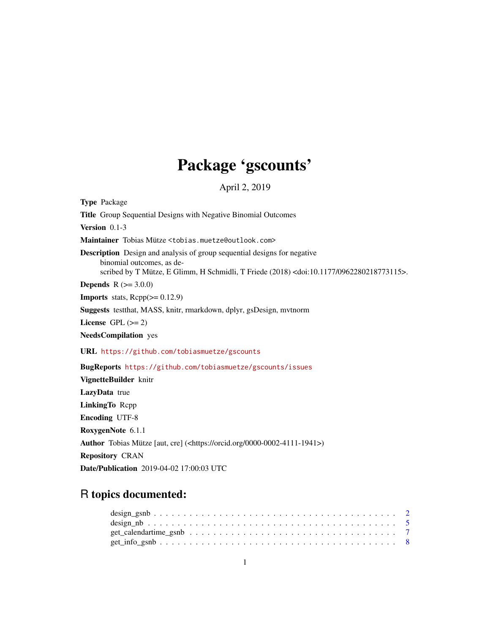# Package 'gscounts'

April 2, 2019

Type Package Title Group Sequential Designs with Negative Binomial Outcomes Version 0.1-3 Maintainer Tobias Mütze <tobias.muetze@outlook.com> Description Design and analysis of group sequential designs for negative binomial outcomes, as described by T Mütze, E Glimm, H Schmidli, T Friede (2018) <doi:10.1177/0962280218773115>. **Depends** R  $(>= 3.0.0)$ **Imports** stats,  $Rep(>= 0.12.9)$ Suggests testthat, MASS, knitr, rmarkdown, dplyr, gsDesign, mvtnorm License GPL  $(>= 2)$ NeedsCompilation yes URL <https://github.com/tobiasmuetze/gscounts> BugReports <https://github.com/tobiasmuetze/gscounts/issues> VignetteBuilder knitr LazyData true LinkingTo Rcpp Encoding UTF-8 RoxygenNote 6.1.1 Author Tobias Mütze [aut, cre] (<https://orcid.org/0000-0002-4111-1941>) Repository CRAN

# Date/Publication 2019-04-02 17:00:03 UTC

# R topics documented: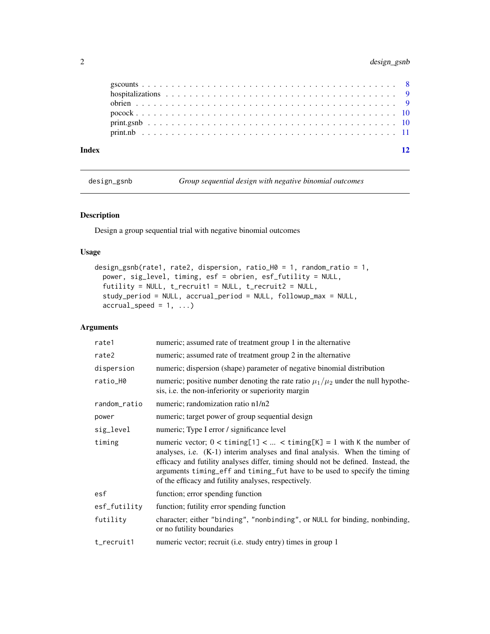<span id="page-1-0"></span>

| Index |  |  |  |  |  |  |  |  |  |  |  |  |  |  |  |  |  |  |  | 12 |
|-------|--|--|--|--|--|--|--|--|--|--|--|--|--|--|--|--|--|--|--|----|
|       |  |  |  |  |  |  |  |  |  |  |  |  |  |  |  |  |  |  |  |    |
|       |  |  |  |  |  |  |  |  |  |  |  |  |  |  |  |  |  |  |  |    |
|       |  |  |  |  |  |  |  |  |  |  |  |  |  |  |  |  |  |  |  |    |
|       |  |  |  |  |  |  |  |  |  |  |  |  |  |  |  |  |  |  |  |    |
|       |  |  |  |  |  |  |  |  |  |  |  |  |  |  |  |  |  |  |  |    |
|       |  |  |  |  |  |  |  |  |  |  |  |  |  |  |  |  |  |  |  |    |

design\_gsnb *Group sequential design with negative binomial outcomes*

# Description

Design a group sequential trial with negative binomial outcomes

# Usage

```
design_gsnb(rate1, rate2, dispersion, ratio_H0 = 1, random_ratio = 1,
  power, sig_level, timing, esf = obrien, esf_futility = NULL,
  futility = NULL, t_recruit1 = NULL, t_recruit2 = NULL,
  study_period = NULL, accrual_period = NULL, followup_max = NULL,
  \text{accrual\_speed} = 1, \ldots
```

| rate1        | numeric; assumed rate of treatment group 1 in the alternative                                                                                                                                                                                                                                                                                                                                   |
|--------------|-------------------------------------------------------------------------------------------------------------------------------------------------------------------------------------------------------------------------------------------------------------------------------------------------------------------------------------------------------------------------------------------------|
| rate2        | numeric; assumed rate of treatment group 2 in the alternative                                                                                                                                                                                                                                                                                                                                   |
| dispersion   | numeric; dispersion (shape) parameter of negative binomial distribution                                                                                                                                                                                                                                                                                                                         |
| ratio_H0     | numeric; positive number denoting the rate ratio $\mu_1/\mu_2$ under the null hypothe-<br>sis, <i>i.e.</i> the non-inferiority or superiority margin                                                                                                                                                                                                                                            |
| random_ratio | numeric; randomization ratio n1/n2                                                                                                                                                                                                                                                                                                                                                              |
| power        | numeric; target power of group sequential design                                                                                                                                                                                                                                                                                                                                                |
| sig_level    | numeric; Type I error / significance level                                                                                                                                                                                                                                                                                                                                                      |
| timing       | numeric vector; $0 < \text{timing}[1] <  < \text{timing}[K] = 1$ with K the number of<br>analyses, i.e. (K-1) interim analyses and final analysis. When the timing of<br>efficacy and futility analyses differ, timing should not be defined. Instead, the<br>arguments timing_eff and timing_fut have to be used to specify the timing<br>of the efficacy and futility analyses, respectively. |
| esf          | function; error spending function                                                                                                                                                                                                                                                                                                                                                               |
| esf_futility | function; futility error spending function                                                                                                                                                                                                                                                                                                                                                      |
| futility     | character; either "binding", "nonbinding", or NULL for binding, nonbinding,<br>or no futility boundaries                                                                                                                                                                                                                                                                                        |
| t_recruit1   | numeric vector; recruit (i.e. study entry) times in group 1                                                                                                                                                                                                                                                                                                                                     |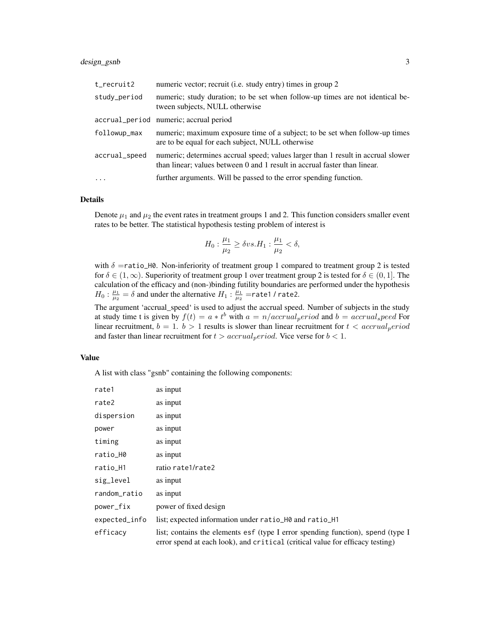# design\_gsnb 3

| t_recruit2    | numeric vector; recruit (i.e. study entry) times in group 2                                                                                                   |
|---------------|---------------------------------------------------------------------------------------------------------------------------------------------------------------|
| study_period  | numeric; study duration; to be set when follow-up times are not identical be-<br>tween subjects, NULL otherwise                                               |
|               | accrual_period numeric; accrual period                                                                                                                        |
| followup_max  | numeric; maximum exposure time of a subject; to be set when follow-up times<br>are to be equal for each subject, NULL otherwise                               |
| accrual_speed | numeric; determines accrual speed; values larger than 1 result in accrual slower<br>than linear; values between 0 and 1 result in accrual faster than linear. |
| $\ddots$ .    | further arguments. Will be passed to the error spending function.                                                                                             |

# Details

Denote  $\mu_1$  and  $\mu_2$  the event rates in treatment groups 1 and 2. This function considers smaller event rates to be better. The statistical hypothesis testing problem of interest is

$$
H_0: \frac{\mu_1}{\mu_2} \ge \delta vs. H_1: \frac{\mu_1}{\mu_2} < \delta,
$$

with  $\delta$  =ratio\_H0. Non-inferiority of treatment group 1 compared to treatment group 2 is tested for  $\delta \in (1,\infty)$ . Superiority of treatment group 1 over treatment group 2 is tested for  $\delta \in (0,1]$ . The calculation of the efficacy and (non-)binding futility boundaries are performed under the hypothesis  $H_0: \frac{\mu_1}{\mu_2} = \delta$  and under the alternative  $H_1: \frac{\mu_1}{\mu_2}$  = rate1 / rate2.

The argument 'accrual\_speed' is used to adjust the accrual speed. Number of subjects in the study at study time t is given by  $f(t) = a * t^b$  with  $a = n/accrual<sub>p</sub>eriod$  and  $b = accrual<sub>s</sub>peed$  For linear recruitment,  $b = 1$ .  $b > 1$  results is slower than linear recruitment for  $t < accordingarccumal<sub>p</sub>eriod$ and faster than linear recruitment for  $t > \operatorname{accrual}_\mathit{period}$ . Vice verse for  $b < 1$ .

# Value

A list with class "gsnb" containing the following components:

| rate1         | as input                                                                                                                                                         |
|---------------|------------------------------------------------------------------------------------------------------------------------------------------------------------------|
| rate2         | as input                                                                                                                                                         |
| dispersion    | as input                                                                                                                                                         |
| power         | as input                                                                                                                                                         |
| timing        | as input                                                                                                                                                         |
| ratio_H0      | as input                                                                                                                                                         |
| ratio_H1      | ratio rate1/rate2                                                                                                                                                |
| sig_level     | as input                                                                                                                                                         |
| random_ratio  | as input                                                                                                                                                         |
| power_fix     | power of fixed design                                                                                                                                            |
| expected_info | list; expected information under ratio_H0 and ratio_H1                                                                                                           |
| efficacy      | list; contains the elements esf (type I error spending function), spend (type I<br>error spend at each look), and critical (critical value for efficacy testing) |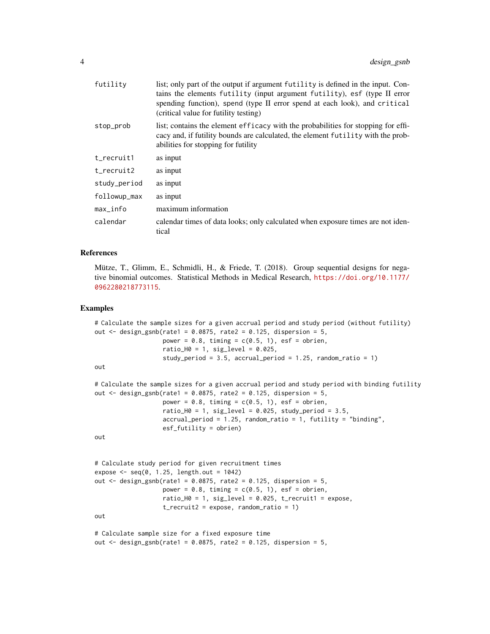| futility     | list; only part of the output if argument futility is defined in the input. Con-<br>tains the elements futility (input argument futility), esf (type II error<br>spending function), spend (type II error spend at each look), and critical<br>(critical value for futility testing) |
|--------------|--------------------------------------------------------------------------------------------------------------------------------------------------------------------------------------------------------------------------------------------------------------------------------------|
| stop_prob    | list; contains the element efficacy with the probabilities for stopping for effi-<br>cacy and, if futility bounds are calculated, the element futility with the prob-<br>abilities for stopping for futility                                                                         |
| t_recruit1   | as input                                                                                                                                                                                                                                                                             |
| t_recruit2   | as input                                                                                                                                                                                                                                                                             |
| study_period | as input                                                                                                                                                                                                                                                                             |
| followup_max | as input                                                                                                                                                                                                                                                                             |
| $max\_info$  | maximum information                                                                                                                                                                                                                                                                  |
| calendar     | calendar times of data looks; only calculated when exposure times are not iden-<br>tical                                                                                                                                                                                             |

### References

Mütze, T., Glimm, E., Schmidli, H., & Friede, T. (2018). Group sequential designs for negative binomial outcomes. Statistical Methods in Medical Research, [https://doi.org/10.1177/](https://doi.org/10.1177/0962280218773115) [0962280218773115](https://doi.org/10.1177/0962280218773115).

```
# Calculate the sample sizes for a given accrual period and study period (without futility)
out \leq design_gsnb(rate1 = 0.0875, rate2 = 0.125, dispersion = 5,
                   power = 0.8, timing = c(0.5, 1), esf = obrien,
                   ratio_H0 = 1, sig_I = 0.025,
                   study_period = 3.5, accrual_period = 1.25, random_ratio = 1)
out
# Calculate the sample sizes for a given accrual period and study period with binding futility
out \leq design_gsnb(rate1 = 0.0875, rate2 = 0.125, dispersion = 5,
                   power = 0.8, timing = c(0.5, 1), esf = obrien,
                   ratio_H0 = 1, sig\_level = 0.025, study\_period = 3.5,
                   accrual_period = 1.25, random_ratio = 1, futility = "binding",
                   esf_futility = obrien)
out
# Calculate study period for given recruitment times
expose \leq seq(0, 1.25, length.out = 1042)
out \leq design_gsnb(rate1 = 0.0875, rate2 = 0.125, dispersion = 5,
                   power = 0.8, timing = c(0.5, 1), esf = obrien,
                   ratio_H0 = 1, sig_level = 0.025, t_recruit1 = expose,
                   t_recruit2 = expose, random_ratio = 1)
out
# Calculate sample size for a fixed exposure time
out \le design_gsnb(rate1 = 0.0875, rate2 = 0.125, dispersion = 5,
```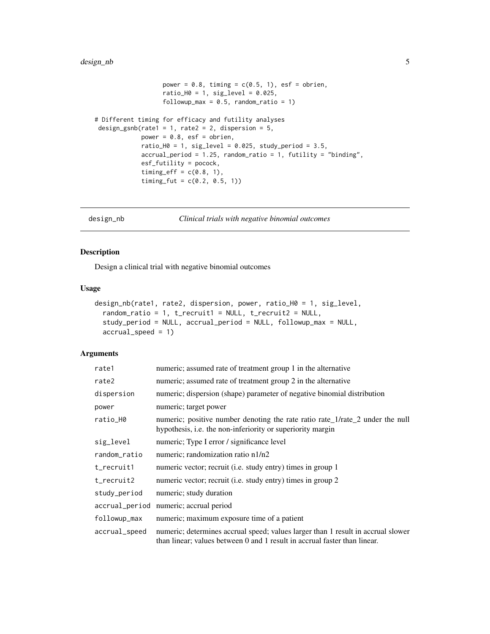# <span id="page-4-0"></span>design\_nb 5

```
power = 0.8, timing = c(0.5, 1), esf = obrien,
                    ratio_H0 = 1, sig_level = 0.025,
                    followup_max = 0.5, random_ratio = 1)
# Different timing for efficacy and futility analyses
design_gsnb(rate1 = 1, rate2 = 2, dispersion = 5,
             power = 0.8, esf = obrien,
             ratio_H0 = 1, sig_level = 0.025, study_period = 3.5,
             \text{accrual\_period} = 1.25, \text{random\_ratio} = 1, \text{futility} = \text{"binding"},
             esf_futility = pocock,
             timing_eff = c(0.8, 1),
             timing_fut = c(0.2, 0.5, 1)
```

```
design_nb Clinical trials with negative binomial outcomes
```
# Description

Design a clinical trial with negative binomial outcomes

### Usage

```
design_nb(rate1, rate2, dispersion, power, ratio_H0 = 1, sig_level,
  random_ratio = 1, t_recruit1 = NULL, t_recruit2 = NULL,
 study_period = NULL, accrual_period = NULL, followup_max = NULL,
 accrual_speed = 1)
```

| rate1          | numeric; assumed rate of treatment group 1 in the alternative                                                                                                 |
|----------------|---------------------------------------------------------------------------------------------------------------------------------------------------------------|
| rate2          | numeric; assumed rate of treatment group 2 in the alternative                                                                                                 |
| dispersion     | numeric; dispersion (shape) parameter of negative binomial distribution                                                                                       |
| power          | numeric; target power                                                                                                                                         |
| ratio_H0       | numeric; positive number denoting the rate ratio rate_1/rate_2 under the null<br>hypothesis, i.e. the non-inferiority or superiority margin                   |
| sig_level      | numeric; Type I error / significance level                                                                                                                    |
| random_ratio   | numeric; randomization ratio n1/n2                                                                                                                            |
| t_recruit1     | numeric vector; recruit (i.e. study entry) times in group 1                                                                                                   |
| $t$ _recruit2  | numeric vector; recruit (i.e. study entry) times in group 2                                                                                                   |
| study_period   | numeric; study duration                                                                                                                                       |
| accrual_period | numeric; accrual period                                                                                                                                       |
| followup_max   | numeric; maximum exposure time of a patient                                                                                                                   |
| accrual_speed  | numeric; determines accrual speed; values larger than 1 result in accrual slower<br>than linear; values between 0 and 1 result in accrual faster than linear. |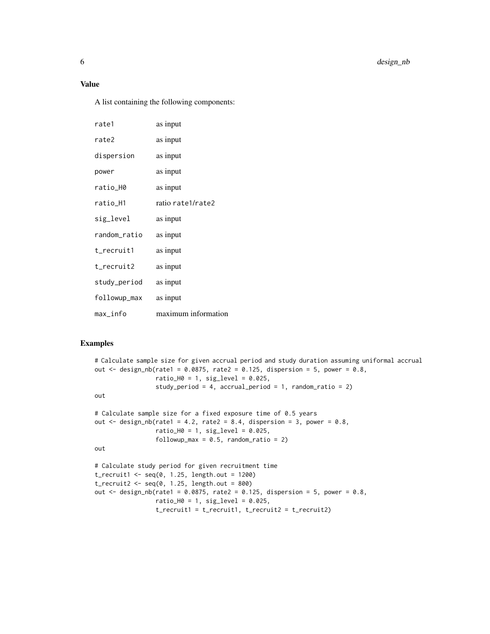A list containing the following components:

| rate1        | as input            |
|--------------|---------------------|
| rate2        | as input            |
| dispersion   | as input            |
| power        | as input            |
| ratio_H0     | as input            |
| ratio_H1     | ratio rate1/rate2   |
| sig_level    | as input            |
| random_ratio | as input            |
| t_recruit1   | as input            |
| t_recruit2   | as input            |
| study_period | as input            |
| followup_max | as input            |
| max_info     | maximum information |

```
# Calculate sample size for given accrual period and study duration assuming uniformal accrual
out \le design_nb(rate1 = 0.0875, rate2 = 0.125, dispersion = 5, power = 0.8,
                 ratio_H0 = 1, sig_level = 0.025,
                 study_period = 4, accrual_period = 1, random_ratio = 2)
out
# Calculate sample size for a fixed exposure time of 0.5 years
out \le design_nb(rate1 = 4.2, rate2 = 8.4, dispersion = 3, power = 0.8,
                 ratio_H0 = 1, sig_I = 0.025,
                 followup_max = 0.5, random_ratio = 2)
out
# Calculate study period for given recruitment time
t_recruit1 <- seq(0, 1.25, length.out = 1200)
t_recruit2 <- seq(0, 1.25, length.out = 800)
out \le design_nb(rate1 = 0.0875, rate2 = 0.125, dispersion = 5, power = 0.8,
                 ratio_H0 = 1, sig_level = 0.025,
                 t_recruit1 = t_recruit1, t_recruit2 = t_recruit2)
```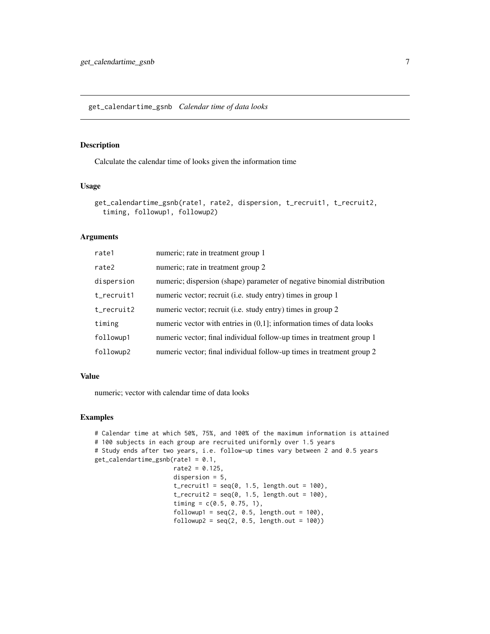# <span id="page-6-0"></span>Description

Calculate the calendar time of looks given the information time

### Usage

```
get_calendartime_gsnb(rate1, rate2, dispersion, t_recruit1, t_recruit2,
  timing, followup1, followup2)
```
# Arguments

| rate1      | numeric; rate in treatment group 1                                       |
|------------|--------------------------------------------------------------------------|
| rate2      | numeric; rate in treatment group 2                                       |
| dispersion | numeric; dispersion (shape) parameter of negative binomial distribution  |
| t_recruit1 | numeric vector; recruit (i.e. study entry) times in group 1              |
| t_recruit2 | numeric vector; recruit (i.e. study entry) times in group 2              |
| timing     | numeric vector with entries in $(0,1)$ ; information times of data looks |
| followup1  | numeric vector; final individual follow-up times in treatment group 1    |
| followup2  | numeric vector; final individual follow-up times in treatment group 2    |

### Value

numeric; vector with calendar time of data looks

```
# Calendar time at which 50%, 75%, and 100% of the maximum information is attained
# 100 subjects in each group are recruited uniformly over 1.5 years
# Study ends after two years, i.e. follow-up times vary between 2 and 0.5 years
get_calendartime_gsnb(rate1 = 0.1,
                     rate2 = 0.125,
                     dispersion = 5,
                     t_recruit1 = seq(0, 1.5, length.out = 100),
                     t_{recruit2} = seq(0, 1.5, length.out = 100),timing = c(0.5, 0.75, 1),
                     followup1 = seq(2, 0.5, length.out = 100),followup2 = seq(2, 0.5, length.out = 100)
```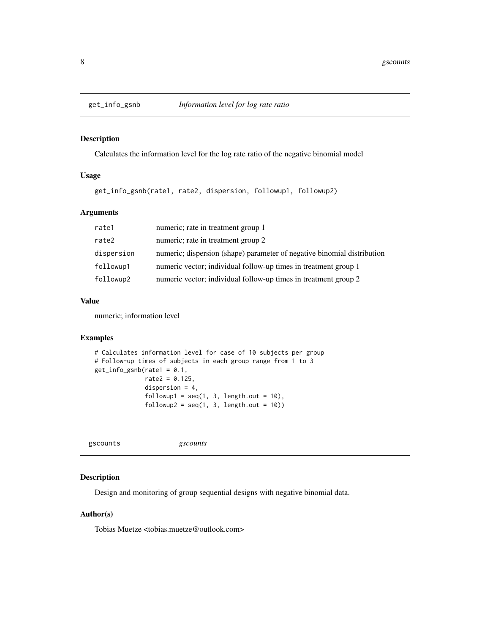<span id="page-7-0"></span>

# Description

Calculates the information level for the log rate ratio of the negative binomial model

# Usage

get\_info\_gsnb(rate1, rate2, dispersion, followup1, followup2)

# Arguments

| rate1      | numeric; rate in treatment group 1                                      |
|------------|-------------------------------------------------------------------------|
| rate2      | numeric; rate in treatment group 2                                      |
| dispersion | numeric; dispersion (shape) parameter of negative binomial distribution |
| followup1  | numeric vector; individual follow-up times in treatment group 1         |
| followup2  | numeric vector; individual follow-up times in treatment group 2         |

# Value

numeric; information level

# Examples

```
# Calculates information level for case of 10 subjects per group
# Follow-up times of subjects in each group range from 1 to 3
get_info\_gsnb(rate1 = 0.1,rate2 = 0.125,
             dispersion = 4,
              followup1 = seq(1, 3, length.out = 10),followup2 = seq(1, 3, length.out = 10)
```
gscounts *gscounts*

# Description

Design and monitoring of group sequential designs with negative binomial data.

# Author(s)

Tobias Muetze <tobias.muetze@outlook.com>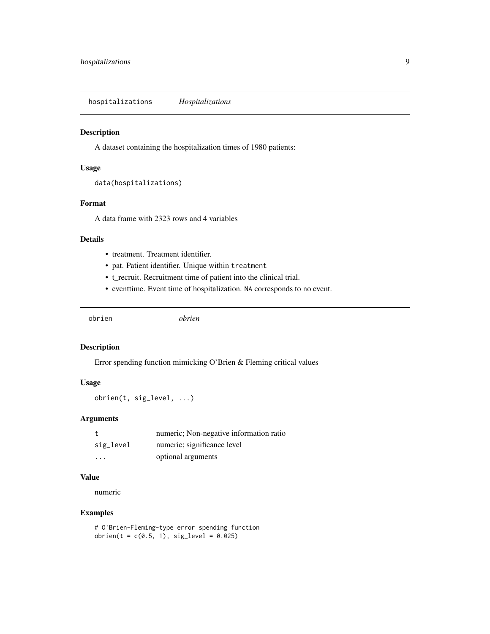<span id="page-8-0"></span>hospitalizations *Hospitalizations*

# Description

A dataset containing the hospitalization times of 1980 patients:

# Usage

```
data(hospitalizations)
```
# Format

A data frame with 2323 rows and 4 variables

# Details

- treatment. Treatment identifier.
- pat. Patient identifier. Unique within treatment
- t\_recruit. Recruitment time of patient into the clinical trial.
- eventtime. Event time of hospitalization. NA corresponds to no event.

obrien *obrien*

# Description

Error spending function mimicking O'Brien & Fleming critical values

# Usage

obrien(t, sig\_level, ...)

# Arguments

|           | numeric; Non-negative information ratio |
|-----------|-----------------------------------------|
| sig_level | numeric; significance level             |
| $\cdots$  | optional arguments                      |

# Value

numeric

```
# O'Brien-Fleming-type error spending function
obrien(t = c(0.5, 1), sig\_level = 0.025)
```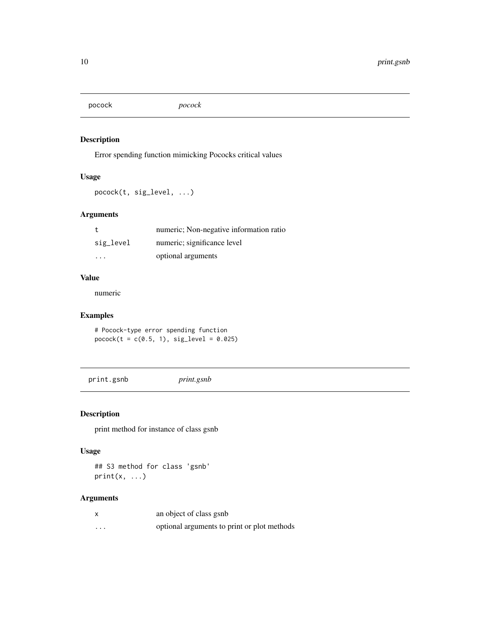<span id="page-9-0"></span>pocock *pocock*

# Description

Error spending function mimicking Pococks critical values

# Usage

pocock(t, sig\_level, ...)

# Arguments

|           | numeric; Non-negative information ratio |
|-----------|-----------------------------------------|
| sig_level | numeric; significance level             |
| $\cdots$  | optional arguments                      |

# Value

numeric

# Examples

# Pocock-type error spending function  $pocock(t = c(0.5, 1), sig\_level = 0.025)$ 

print.gsnb *print.gsnb*

# Description

print method for instance of class gsnb

# Usage

## S3 method for class 'gsnb'  $print(x, \ldots)$ 

|          | an object of class gsnb                     |
|----------|---------------------------------------------|
| $\cdots$ | optional arguments to print or plot methods |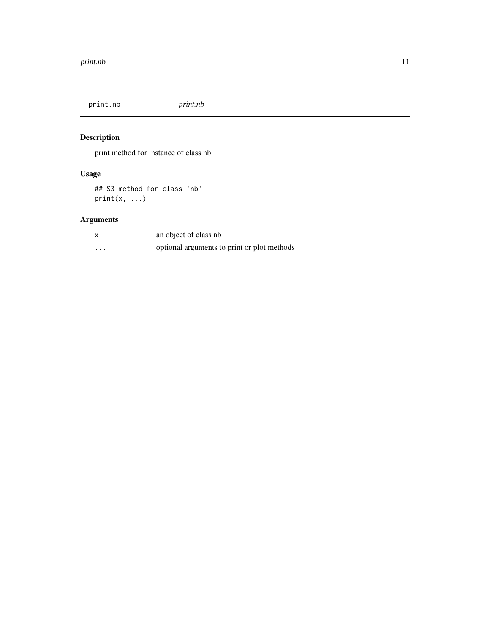<span id="page-10-0"></span>print.nb *print.nb*

# Description

print method for instance of class nb

# Usage

## S3 method for class 'nb' print(x, ...)

|          | an object of class nb                       |
|----------|---------------------------------------------|
| $\cdots$ | optional arguments to print or plot methods |